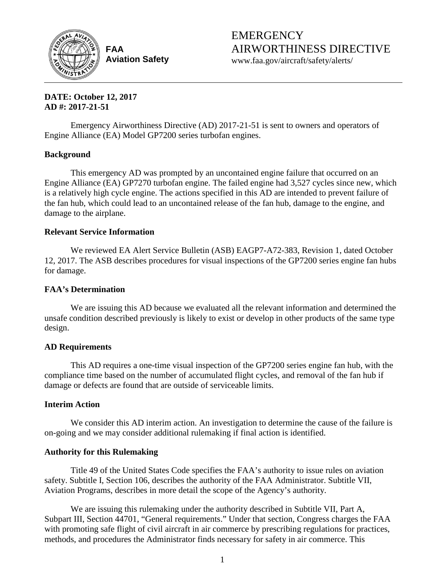

**FAA Aviation Safety** **EMERGENCY** AIRWORTHINESS DIRECTIVE

www.faa.gov/aircraft/safety/alerts/

**DATE: October 12, 2017 AD #: 2017-21-51**

Emergency Airworthiness Directive (AD) 2017-21-51 is sent to owners and operators of Engine Alliance (EA) Model GP7200 series turbofan engines.

# **Background**

This emergency AD was prompted by an uncontained engine failure that occurred on an Engine Alliance (EA) GP7270 turbofan engine. The failed engine had 3,527 cycles since new, which is a relatively high cycle engine. The actions specified in this AD are intended to prevent failure of the fan hub, which could lead to an uncontained release of the fan hub, damage to the engine, and damage to the airplane.

# **Relevant Service Information**

We reviewed EA Alert Service Bulletin (ASB) EAGP7-A72-383, Revision 1, dated October 12, 2017. The ASB describes procedures for visual inspections of the GP7200 series engine fan hubs for damage.

# **FAA's Determination**

We are issuing this AD because we evaluated all the relevant information and determined the unsafe condition described previously is likely to exist or develop in other products of the same type design.

## **AD Requirements**

This AD requires a one-time visual inspection of the GP7200 series engine fan hub, with the compliance time based on the number of accumulated flight cycles, and removal of the fan hub if damage or defects are found that are outside of serviceable limits.

## **Interim Action**

We consider this AD interim action. An investigation to determine the cause of the failure is on-going and we may consider additional rulemaking if final action is identified.

## **Authority for this Rulemaking**

Title 49 of the United States Code specifies the FAA's authority to issue rules on aviation safety. Subtitle I, Section 106, describes the authority of the FAA Administrator. Subtitle VII, Aviation Programs, describes in more detail the scope of the Agency's authority.

We are issuing this rulemaking under the authority described in Subtitle VII, Part A, Subpart III, Section 44701, "General requirements." Under that section, Congress charges the FAA with promoting safe flight of civil aircraft in air commerce by prescribing regulations for practices, methods, and procedures the Administrator finds necessary for safety in air commerce. This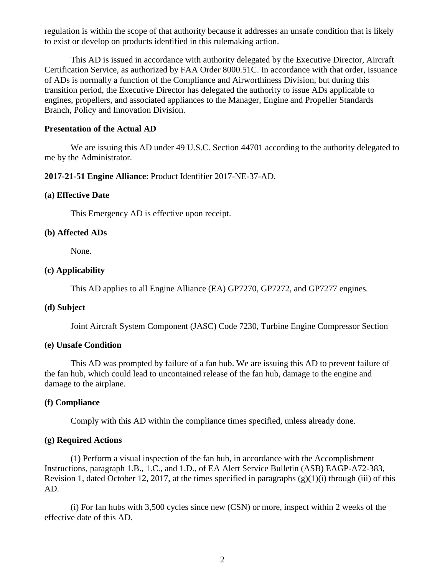regulation is within the scope of that authority because it addresses an unsafe condition that is likely to exist or develop on products identified in this rulemaking action.

This AD is issued in accordance with authority delegated by the Executive Director, Aircraft Certification Service, as authorized by FAA Order 8000.51C. In accordance with that order, issuance of ADs is normally a function of the Compliance and Airworthiness Division, but during this transition period, the Executive Director has delegated the authority to issue ADs applicable to engines, propellers, and associated appliances to the Manager, Engine and Propeller Standards Branch, Policy and Innovation Division.

#### **Presentation of the Actual AD**

We are issuing this AD under 49 U.S.C. Section 44701 according to the authority delegated to me by the Administrator.

### **2017-21-51 Engine Alliance**: Product Identifier 2017-NE-37-AD.

#### **(a) Effective Date**

This Emergency AD is effective upon receipt.

#### **(b) Affected ADs**

None.

### **(c) Applicability**

This AD applies to all Engine Alliance (EA) GP7270, GP7272, and GP7277 engines*.*

## **(d) Subject**

Joint Aircraft System Component (JASC) Code 7230, Turbine Engine Compressor Section

### **(e) Unsafe Condition**

This AD was prompted by failure of a fan hub. We are issuing this AD to prevent failure of the fan hub, which could lead to uncontained release of the fan hub, damage to the engine and damage to the airplane.

#### **(f) Compliance**

Comply with this AD within the compliance times specified, unless already done.

#### **(g) Required Actions**

(1) Perform a visual inspection of the fan hub, in accordance with the Accomplishment Instructions, paragraph 1.B., 1.C., and 1.D., of EA Alert Service Bulletin (ASB) EAGP-A72-383, Revision 1, dated October 12, 2017, at the times specified in paragraphs  $(g)(1)(i)$  through (iii) of this AD.

(i) For fan hubs with 3,500 cycles since new (CSN) or more, inspect within 2 weeks of the effective date of this AD.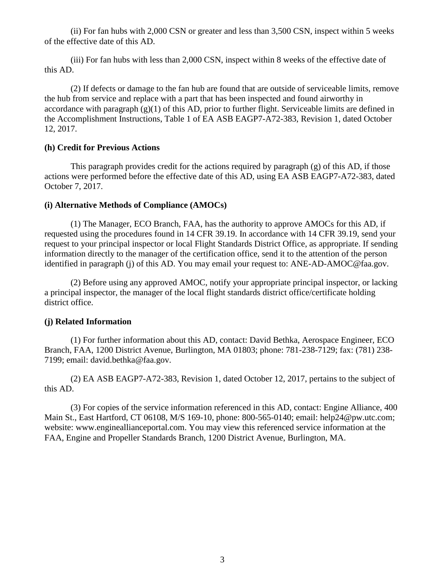(ii) For fan hubs with 2,000 CSN or greater and less than 3,500 CSN, inspect within 5 weeks of the effective date of this AD.

(iii) For fan hubs with less than 2,000 CSN, inspect within 8 weeks of the effective date of this AD.

(2) If defects or damage to the fan hub are found that are outside of serviceable limits, remove the hub from service and replace with a part that has been inspected and found airworthy in accordance with paragraph  $(g)(1)$  of this AD, prior to further flight. Serviceable limits are defined in the Accomplishment Instructions, Table 1 of EA ASB EAGP7-A72-383, Revision 1, dated October 12, 2017.

## **(h) Credit for Previous Actions**

This paragraph provides credit for the actions required by paragraph (g) of this AD, if those actions were performed before the effective date of this AD, using EA ASB EAGP7-A72-383, dated October 7, 2017.

## **(i) Alternative Methods of Compliance (AMOCs)**

(1) The Manager, ECO Branch, FAA, has the authority to approve AMOCs for this AD, if requested using the procedures found in 14 CFR 39.19. In accordance with 14 CFR 39.19, send your request to your principal inspector or local Flight Standards District Office, as appropriate. If sending information directly to the manager of the certification office, send it to the attention of the person identified in paragraph (j) of this AD. You may email your request to: ANE-AD-AMOC@faa.gov.

(2) Before using any approved AMOC, notify your appropriate principal inspector, or lacking a principal inspector, the manager of the local flight standards district office/certificate holding district office.

## **(j) Related Information**

(1) For further information about this AD, contact: David Bethka, Aerospace Engineer, ECO Branch, FAA, 1200 District Avenue, Burlington, MA 01803; phone: 781-238-7129; fax: (781) 238- 7199; email: david.bethka@faa.gov.

(2) EA ASB EAGP7-A72-383, Revision 1, dated October 12, 2017, pertains to the subject of this AD.

(3) For copies of the service information referenced in this AD, contact: Engine Alliance, 400 Main St., East Hartford, CT 06108, M/S 169-10, phone: 800-565-0140; email: help24@pw.utc.com; website: www.engineallianceportal.com. You may view this referenced service information at the FAA, Engine and Propeller Standards Branch, 1200 District Avenue, Burlington, MA.